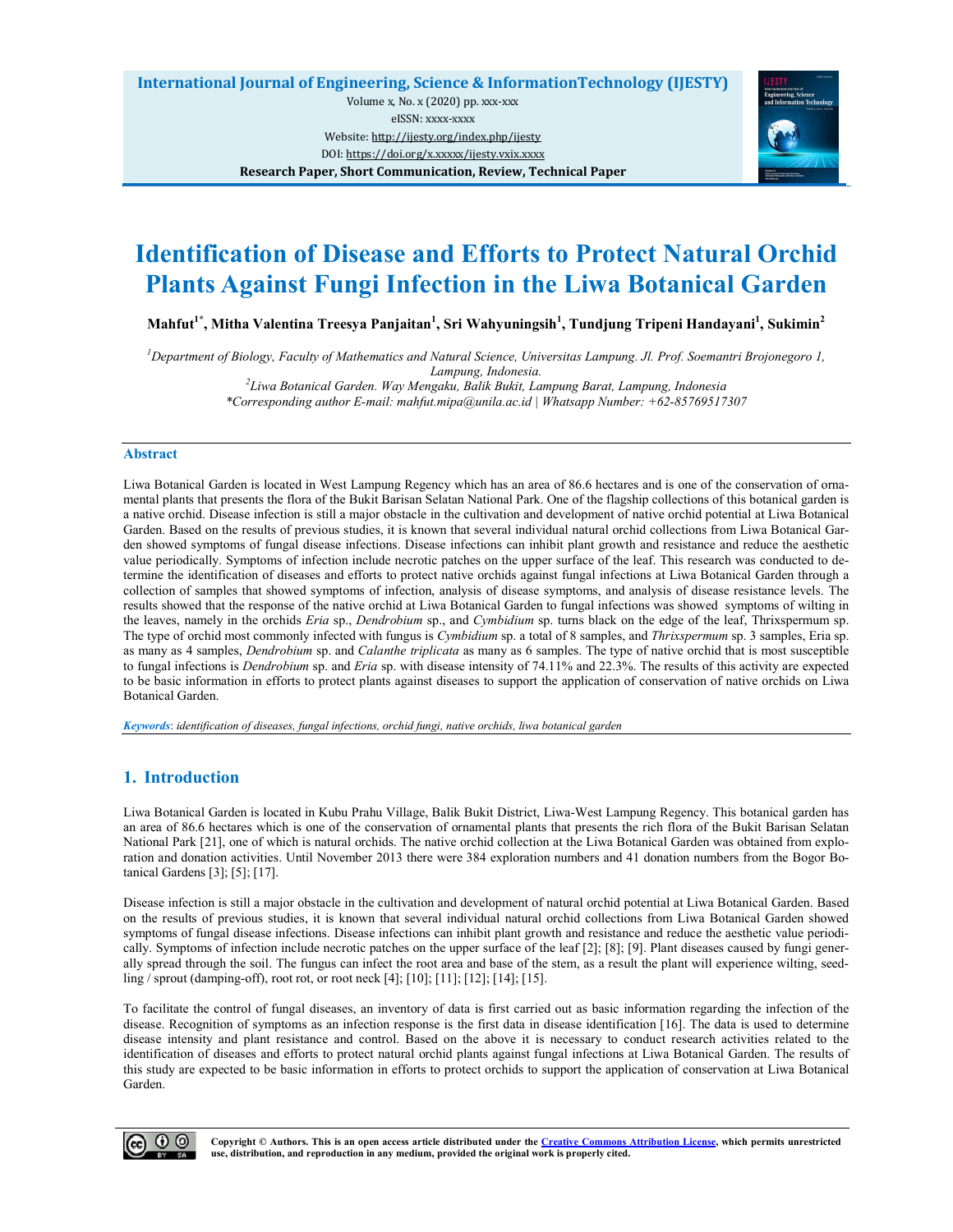

# **Identification of Disease and Efforts to Protect Natural Orchid Plants Against Fungi Infection in the Liwa Botanical Garden**

**Mahfut1\*, Mitha Valentina Treesya Panjaitan1 , Sri Wahyuningsih<sup>1</sup> , Tundjung Tripeni Handayani<sup>1</sup> , Sukimin<sup>2</sup>**

*1 Department of Biology, Faculty of Mathematics and Natural Science, Universitas Lampung. Jl. Prof. Soemantri Brojonegoro 1, Lampung, Indonesia. <sup>2</sup> Liwa Botanical Garden. Way Mengaku, Balik Bukit, Lampung Barat, Lampung, Indonesia*

*\*Corresponding author E-mail: mahfut.mipa@unila.ac.id | Whatsapp Number: +62-85769517307*

## **Abstract**

Liwa Botanical Garden is located in West Lampung Regency which has an area of 86.6 hectares and is one of the conservation of ornamental plants that presents the flora of the Bukit Barisan Selatan National Park. One of the flagship collections of this botanical garden is a native orchid. Disease infection is still a major obstacle in the cultivation and development of native orchid potential at Liwa Botanical Garden. Based on the results of previous studies, it is known that several individual natural orchid collections from Liwa Botanical Garden showed symptoms of fungal disease infections. Disease infections can inhibit plant growth and resistance and reduce the aesthetic value periodically. Symptoms of infection include necrotic patches on the upper surface of the leaf. This research was conducted to determine the identification of diseases and efforts to protect native orchids against fungal infections at Liwa Botanical Garden through a collection of samples that showed symptoms of infection, analysis of disease symptoms, and analysis of disease resistance levels. The results showed that the response of the native orchid at Liwa Botanical Garden to fungal infections was showed symptoms of wilting in the leaves, namely in the orchids *Eria* sp., *Dendrobium* sp., and *Cymbidium* sp. turns black on the edge of the leaf, Thrixspermum sp. The type of orchid most commonly infected with fungus is *Cymbidium* sp. a total of 8 samples, and *Thrixspermum* sp. 3 samples, Eria sp. as many as 4 samples, *Dendrobium* sp. and *Calanthe triplicata* as many as 6 samples. The type of native orchid that is most susceptible to fungal infections is *Dendrobium* sp. and *Eria* sp. with disease intensity of 74.11% and 22.3%. The results of this activity are expected to be basic information in efforts to protect plants against diseases to support the application of conservation of native orchids on Liwa Botanical Garden.

*Keywords*: *identification of diseases, fungal infections, orchid fungi, native orchids, liwa botanical garden*

## **1. Introduction**

Liwa Botanical Garden is located in Kubu Prahu Village, Balik Bukit District, Liwa-West Lampung Regency. This botanical garden has an area of 86.6 hectares which is one of the conservation of ornamental plants that presents the rich flora of the Bukit Barisan Selatan National Park [21], one of which is natural orchids. The native orchid collection at the Liwa Botanical Garden was obtained from exploration and donation activities. Until November 2013 there were 384 exploration numbers and 41 donation numbers from the Bogor Botanical Gardens [3]; [5]; [17].

Disease infection is still a major obstacle in the cultivation and development of natural orchid potential at Liwa Botanical Garden. Based on the results of previous studies, it is known that several individual natural orchid collections from Liwa Botanical Garden showed symptoms of fungal disease infections. Disease infections can inhibit plant growth and resistance and reduce the aesthetic value periodically. Symptoms of infection include necrotic patches on the upper surface of the leaf [2]; [8]; [9]. Plant diseases caused by fungi generally spread through the soil. The fungus can infect the root area and base of the stem, as a result the plant will experience wilting, seedling / sprout (damping-off), root rot, or root neck [4]; [10]; [11]; [12]; [14]; [15].

To facilitate the control of fungal diseases, an inventory of data is first carried out as basic information regarding the infection of the disease. Recognition of symptoms as an infection response is the first data in disease identification [16]. The data is used to determine disease intensity and plant resistance and control. Based on the above it is necessary to conduct research activities related to the identification of diseases and efforts to protect natural orchid plants against fungal infections at Liwa Botanical Garden. The results of this study are expected to be basic information in efforts to protect orchids to support the application of conservation at Liwa Botanical Garden.



**Copyright © Authors. This is an open access article distributed under the Creative Commons Attribution License, which permits unrestricted use, distribution, and reproduction in any medium, provided the original work is properly cited.**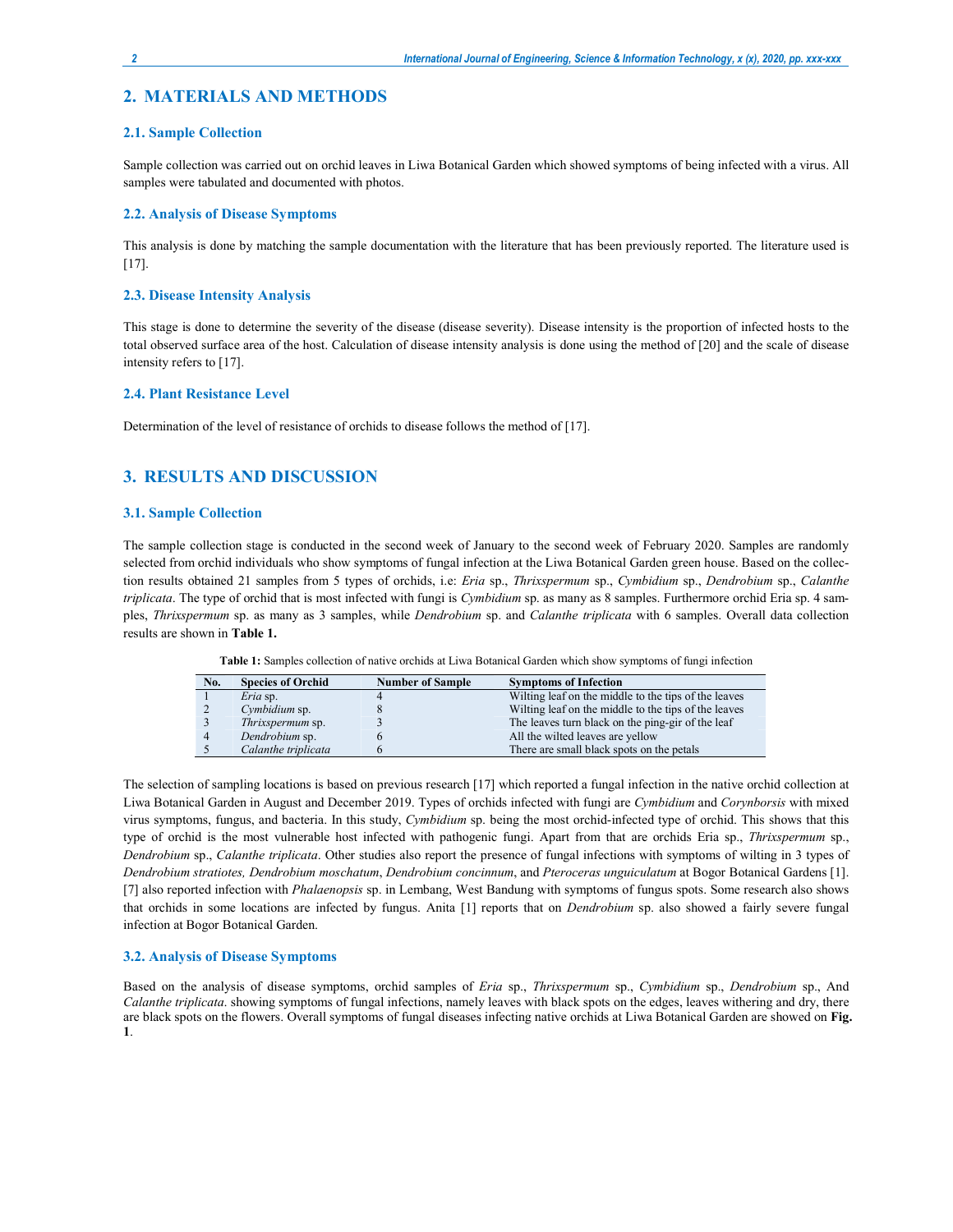## **2. MATERIALS AND METHODS**

#### **2.1. Sample Collection**

Sample collection was carried out on orchid leaves in Liwa Botanical Garden which showed symptoms of being infected with a virus. All samples were tabulated and documented with photos.

## **2.2. Analysis of Disease Symptoms**

This analysis is done by matching the sample documentation with the literature that has been previously reported. The literature used is [17].

#### **2.3. Disease Intensity Analysis**

This stage is done to determine the severity of the disease (disease severity). Disease intensity is the proportion of infected hosts to the total observed surface area of the host. Calculation of disease intensity analysis is done using the method of [20] and the scale of disease intensity refers to [17].

#### **2.4. Plant Resistance Level**

Determination of the level of resistance of orchids to disease follows the method of [17].

## **3. RESULTS AND DISCUSSION**

#### **3.1. Sample Collection**

The sample collection stage is conducted in the second week of January to the second week of February 2020. Samples are randomly selected from orchid individuals who show symptoms of fungal infection at the Liwa Botanical Garden green house. Based on the collection results obtained 21 samples from 5 types of orchids, i.e: *Eria* sp., *Thrixspermum* sp., *Cymbidium* sp., *Dendrobium* sp., *Calanthe triplicata*. The type of orchid that is most infected with fungi is *Cymbidium* sp. as many as 8 samples. Furthermore orchid Eria sp. 4 samples, *Thrixspermum* sp. as many as 3 samples, while *Dendrobium* sp. and *Calanthe triplicata* with 6 samples. Overall data collection results are shown in **Table 1.**

**Table 1:** Samples collection of native orchids at Liwa Botanical Garden which show symptoms of fungi infection

| No. | <b>Species of Orchid</b> | <b>Number of Sample</b> | <b>Symptoms of Infection</b>                         |
|-----|--------------------------|-------------------------|------------------------------------------------------|
|     | Eria sp.                 |                         | Wilting leaf on the middle to the tips of the leaves |
|     | Cymbidium sp.            |                         | Wilting leaf on the middle to the tips of the leaves |
|     | <i>Thrixspermum</i> sp.  |                         | The leaves turn black on the ping-gir of the leaf    |
|     | Dendrobium sp.           |                         | All the wilted leaves are yellow                     |
|     | Calanthe triplicata      |                         | There are small black spots on the petals            |

The selection of sampling locations is based on previous research [17] which reported a fungal infection in the native orchid collection at Liwa Botanical Garden in August and December 2019. Types of orchids infected with fungi are *Cymbidium* and *Corynborsis* with mixed virus symptoms, fungus, and bacteria. In this study, *Cymbidium* sp. being the most orchid-infected type of orchid. This shows that this type of orchid is the most vulnerable host infected with pathogenic fungi. Apart from that are orchids Eria sp., *Thrixspermum* sp., *Dendrobium* sp., *Calanthe triplicata*. Other studies also report the presence of fungal infections with symptoms of wilting in 3 types of *Dendrobium stratiotes, Dendrobium moschatum*, *Dendrobium concinnum*, and *Pteroceras unguiculatum* at Bogor Botanical Gardens [1]. [7] also reported infection with *Phalaenopsis* sp. in Lembang, West Bandung with symptoms of fungus spots. Some research also shows that orchids in some locations are infected by fungus. Anita [1] reports that on *Dendrobium* sp. also showed a fairly severe fungal infection at Bogor Botanical Garden.

#### **3.2. Analysis of Disease Symptoms**

Based on the analysis of disease symptoms, orchid samples of *Eria* sp., *Thrixspermum* sp., *Cymbidium* sp., *Dendrobium* sp., And *Calanthe triplicata*. showing symptoms of fungal infections, namely leaves with black spots on the edges, leaves withering and dry, there are black spots on the flowers. Overall symptoms of fungal diseases infecting native orchids at Liwa Botanical Garden are showed on **Fig. 1**.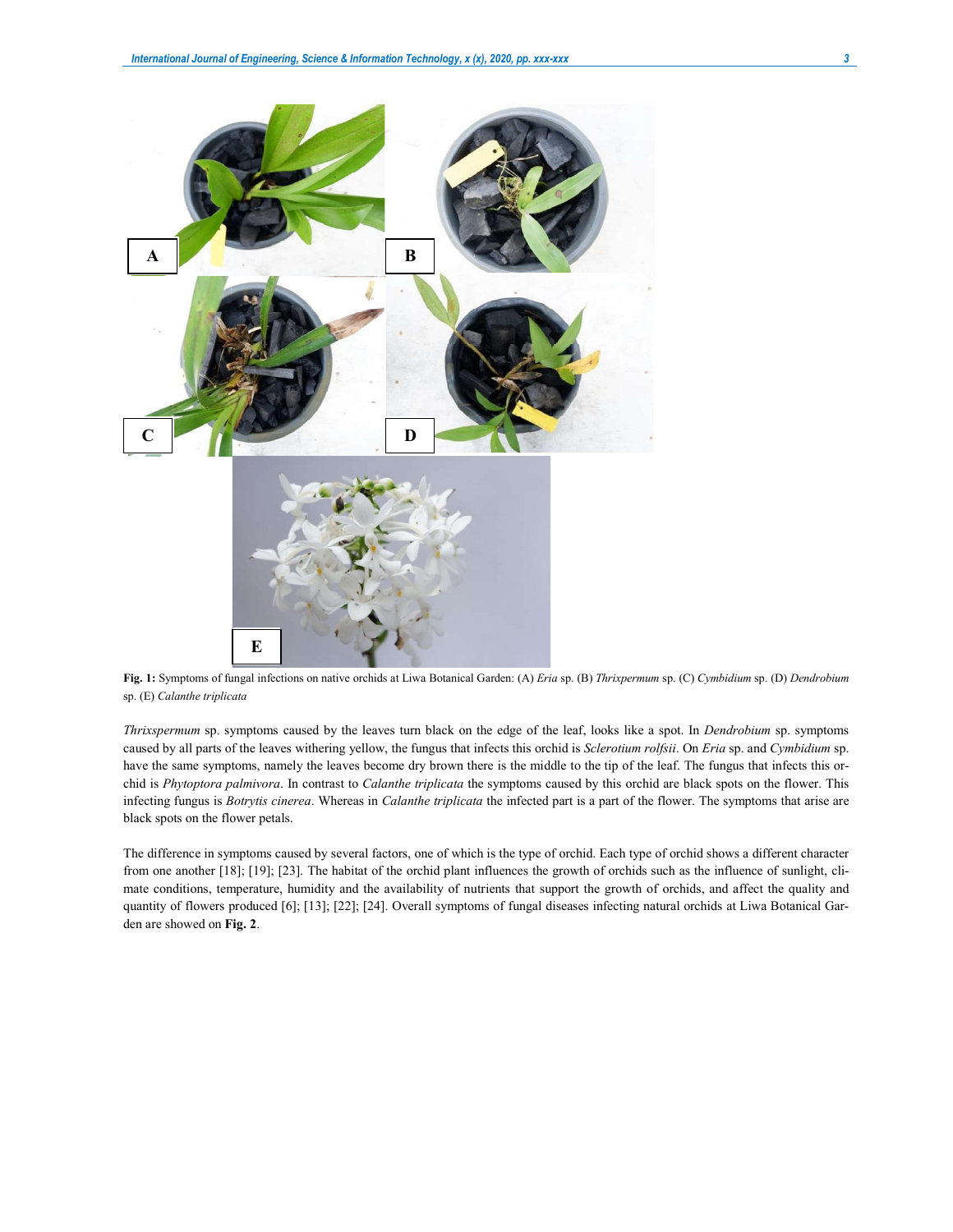

**Fig. 1:** Symptoms of fungal infections on native orchids at Liwa Botanical Garden: (A) *Eria* sp. (B) *Thrixpermum* sp. (C) *Cymbidium* sp. (D) *Dendrobium*  sp. (E) *Calanthe triplicata*

*Thrixspermum* sp. symptoms caused by the leaves turn black on the edge of the leaf, looks like a spot. In *Dendrobium* sp. symptoms caused by all parts of the leaves withering yellow, the fungus that infects this orchid is *Sclerotium rolfsii*. On *Eria* sp. and *Cymbidium* sp. have the same symptoms, namely the leaves become dry brown there is the middle to the tip of the leaf. The fungus that infects this orchid is *Phytoptora palmivora*. In contrast to *Calanthe triplicata* the symptoms caused by this orchid are black spots on the flower. This infecting fungus is *Botrytis cinerea*. Whereas in *Calanthe triplicata* the infected part is a part of the flower. The symptoms that arise are black spots on the flower petals.

The difference in symptoms caused by several factors, one of which is the type of orchid. Each type of orchid shows a different character from one another [18]; [19]; [23]. The habitat of the orchid plant influences the growth of orchids such as the influence of sunlight, climate conditions, temperature, humidity and the availability of nutrients that support the growth of orchids, and affect the quality and quantity of flowers produced [6]; [13]; [22]; [24]. Overall symptoms of fungal diseases infecting natural orchids at Liwa Botanical Garden are showed on **Fig. 2**.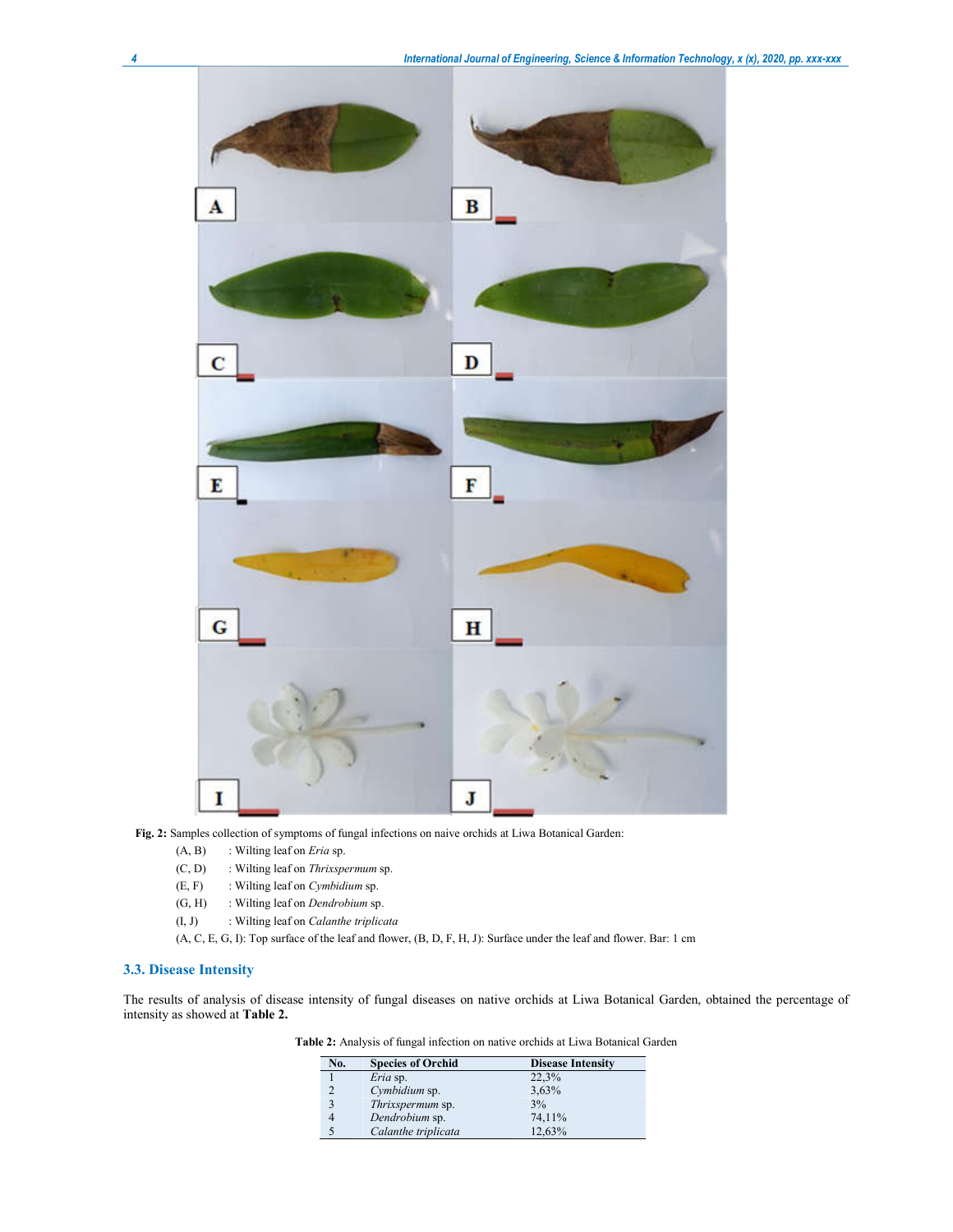

**Fig. 2:** Samples collection of symptoms of fungal infections on naive orchids at Liwa Botanical Garden:

- (A, B) : Wilting leaf on *Eria* sp.
- (C, D) : Wilting leaf on *Thrixspermum* sp.
- (E, F) : Wilting leaf on *Cymbidium* sp.
- (G, H) : Wilting leaf on *Dendrobium* sp.
- (I, J) : Wilting leaf on *Calanthe triplicata*
- (A, C, E, G, I): Top surface of the leaf and flower, (B, D, F, H, J): Surface under the leaf and flower. Bar: 1 cm

## **3.3. Disease Intensity**

The results of analysis of disease intensity of fungal diseases on native orchids at Liwa Botanical Garden, obtained the percentage of intensity as showed at **Table 2.**

| <b>Table 2:</b> Analysis of fungal infection on native orchids at Liwa Botanical Garden |  |  |  |  |
|-----------------------------------------------------------------------------------------|--|--|--|--|
|                                                                                         |  |  |  |  |

| No. | <b>Species of Orchid</b> | <b>Disease Intensity</b> |
|-----|--------------------------|--------------------------|
|     | Eria sp.                 | 22,3%                    |
|     | Cymbidium sp.            | 3,63%                    |
| 3   | Thrixspermum sp.         | 3%                       |
|     | Dendrobium sp.           | 74.11%                   |
|     | Calanthe triplicata      | 12.63%                   |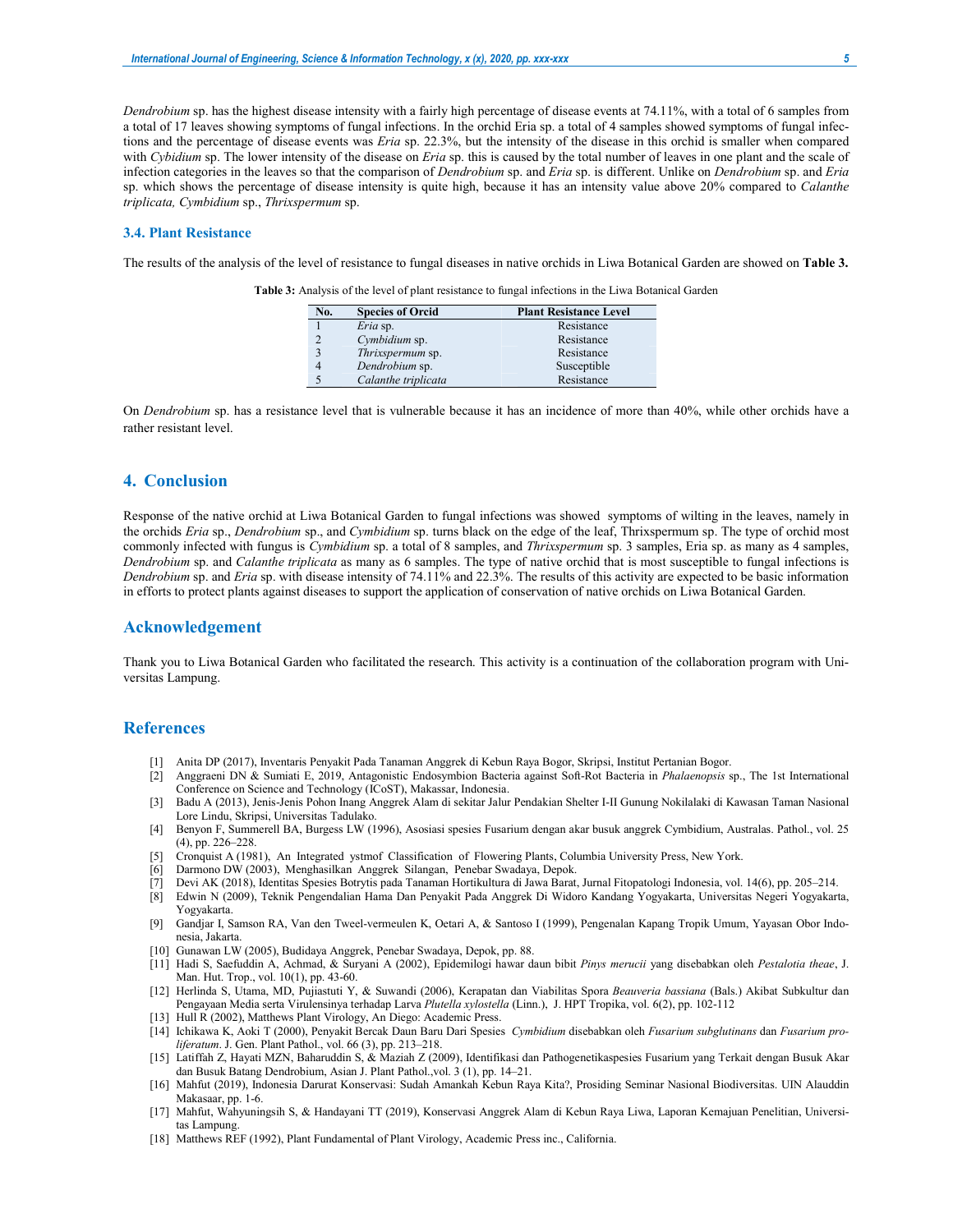*Dendrobium* sp. has the highest disease intensity with a fairly high percentage of disease events at 74.11%, with a total of 6 samples from a total of 17 leaves showing symptoms of fungal infections. In the orchid Eria sp. a total of 4 samples showed symptoms of fungal infections and the percentage of disease events was *Eria* sp. 22.3%, but the intensity of the disease in this orchid is smaller when compared with *Cybidium* sp. The lower intensity of the disease on *Eria* sp. this is caused by the total number of leaves in one plant and the scale of infection categories in the leaves so that the comparison of *Dendrobium* sp. and *Eria* sp. is different. Unlike on *Dendrobium* sp. and *Eria*  sp. which shows the percentage of disease intensity is quite high, because it has an intensity value above 20% compared to *Calanthe triplicata, Cymbidium* sp., *Thrixspermum* sp.

#### **3.4. Plant Resistance**

The results of the analysis of the level of resistance to fungal diseases in native orchids in Liwa Botanical Garden are showed on **Table 3.**

| No. | <b>Species of Orcid</b> | <b>Plant Resistance Level</b> |
|-----|-------------------------|-------------------------------|
|     | Eria sp.                | Resistance                    |
|     | Cymbidium sp.           | Resistance                    |
|     | Thrixspermum sp.        | Resistance                    |
|     | Dendrobium sp.          | Susceptible                   |
|     | Calanthe triplicata     | Resistance                    |

**Table 3:** Analysis of the level of plant resistance to fungal infections in the Liwa Botanical Garden

On *Dendrobium* sp. has a resistance level that is vulnerable because it has an incidence of more than 40%, while other orchids have a rather resistant level.

## **4. Conclusion**

Response of the native orchid at Liwa Botanical Garden to fungal infections was showed symptoms of wilting in the leaves, namely in the orchids *Eria* sp., *Dendrobium* sp., and *Cymbidium* sp. turns black on the edge of the leaf, Thrixspermum sp. The type of orchid most commonly infected with fungus is *Cymbidium* sp. a total of 8 samples, and *Thrixspermum* sp. 3 samples, Eria sp. as many as 4 samples, *Dendrobium* sp. and *Calanthe triplicata* as many as 6 samples. The type of native orchid that is most susceptible to fungal infections is *Dendrobium* sp. and *Eria* sp. with disease intensity of 74.11% and 22.3%. The results of this activity are expected to be basic information in efforts to protect plants against diseases to support the application of conservation of native orchids on Liwa Botanical Garden.

#### **Acknowledgement**

Thank you to Liwa Botanical Garden who facilitated the research. This activity is a continuation of the collaboration program with Universitas Lampung.

## **References**

- [1] Anita DP (2017), Inventaris Penyakit Pada Tanaman Anggrek di Kebun Raya Bogor, Skripsi, Institut Pertanian Bogor.
- [2] Anggraeni DN & Sumiati E, 2019, Antagonistic Endosymbion Bacteria against Soft-Rot Bacteria in *Phalaenopsis* sp., The 1st International Conference on Science and Technology (ICoST), Makassar, Indonesia.
- [3] Badu A (2013), Jenis-Jenis Pohon Inang Anggrek Alam di sekitar Jalur Pendakian Shelter I-II Gunung Nokilalaki di Kawasan Taman Nasional Lore Lindu, Skripsi, Universitas Tadulako.
- [4] Benyon F, Summerell BA, Burgess LW (1996), Asosiasi spesies Fusarium dengan akar busuk anggrek Cymbidium, Australas. Pathol., vol. 25 (4), pp. 226–228.
- [5] Cronquist A (1981), An Integrated ystmof Classification of Flowering Plants, Columbia University Press, New York.
- Darmono DW (2003), Menghasilkan Anggrek Silangan, Penebar Swadaya, Depok.
- [7] Devi AK (2018), Identitas Spesies Botrytis pada Tanaman Hortikultura di Jawa Barat, Jurnal Fitopatologi Indonesia, vol. 14(6), pp. 205–214.
- [8] Edwin N (2009), Teknik Pengendalian Hama Dan Penyakit Pada Anggrek Di Widoro Kandang Yogyakarta, Universitas Negeri Yogyakarta, Yogyakarta.
- [9] Gandjar I, Samson RA, Van den Tweel-vermeulen K, Oetari A, & Santoso I (1999), Pengenalan Kapang Tropik Umum, Yayasan Obor Indonesia, Jakarta.
- [10] Gunawan LW (2005), Budidaya Anggrek, Penebar Swadaya, Depok, pp. 88.
- [11] Hadi S, Saefuddin A, Achmad, & Suryani A (2002), Epidemilogi hawar daun bibit *Pinys merucii* yang disebabkan oleh *Pestalotia theae*, J. Man. Hut. Trop., vol. 10(1), pp. 43-60.
- [12] Herlinda S, Utama, MD, Pujiastuti Y, & Suwandi (2006), Kerapatan dan Viabilitas Spora *Beauveria bassiana* (Bals.) Akibat Subkultur dan Pengayaan Media serta Virulensinya terhadap Larva *Plutella xylostella* (Linn.), J. HPT Tropika, vol. 6(2), pp. 102-112
- [13] Hull R (2002), Matthews Plant Virology, An Diego: Academic Press.
- [14] Ichikawa K, Aoki T (2000), Penyakit Bercak Daun Baru Dari Spesies *Cymbidium* disebabkan oleh *Fusarium subglutinans* dan *Fusarium proliferatum*. J. Gen. Plant Pathol., vol. 66 (3), pp. 213–218.
- [15] Latiffah Z, Hayati MZN, Baharuddin S, & Maziah Z (2009), Identifikasi dan Pathogenetikaspesies Fusarium yang Terkait dengan Busuk Akar dan Busuk Batang Dendrobium, Asian J. Plant Pathol.,vol. 3 (1), pp. 14–21.
- [16] Mahfut (2019), Indonesia Darurat Konservasi: Sudah Amankah Kebun Raya Kita?, Prosiding Seminar Nasional Biodiversitas. UIN Alauddin Makasaar, pp. 1-6.
- [17] Mahfut, Wahyuningsih S, & Handayani TT (2019), Konservasi Anggrek Alam di Kebun Raya Liwa, Laporan Kemajuan Penelitian, Universitas Lampung.
- [18] Matthews REF (1992), Plant Fundamental of Plant Virology, Academic Press inc., California.